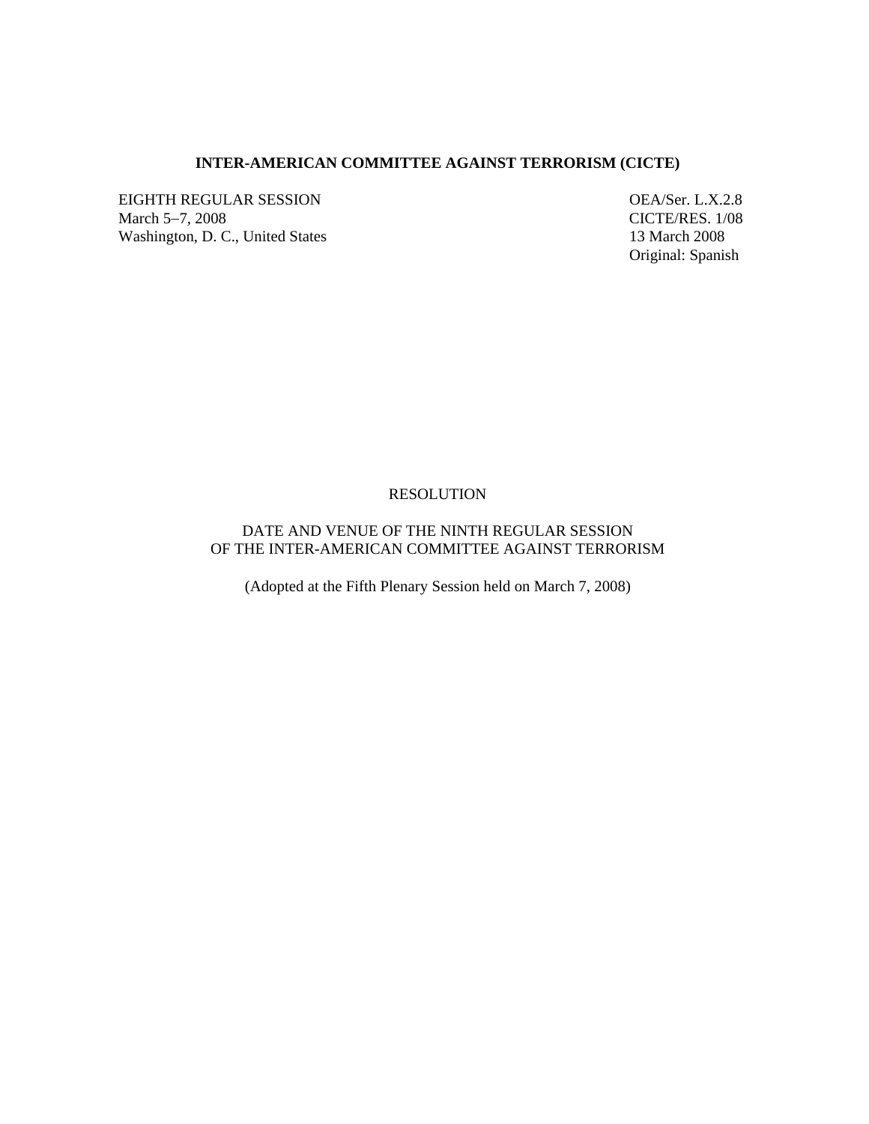### **INTER-AMERICAN COMMITTEE AGAINST TERRORISM (CICTE)**

EIGHTH REGULAR SESSION OEA/Ser. L.X.2.8 March 5−7, 2008 CICTE/RES. 1/08 Washington, D. C., United States 13 March 2008

Original: Spanish

### RESOLUTION

# DATE AND VENUE OF THE NINTH REGULAR SESSION OF THE INTER-AMERICAN COMMITTEE AGAINST TERRORISM

(Adopted at the Fifth Plenary Session held on March 7, 2008)